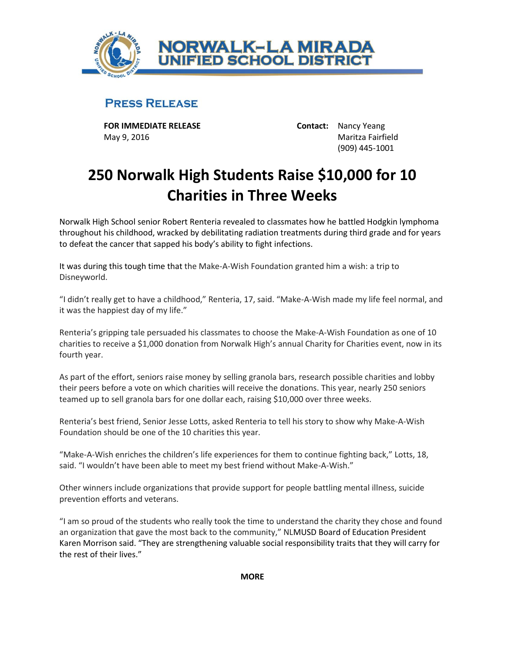

## **PRESS RELEASE**

**FOR IMMEDIATE RELEASE Contact:** Nancy Yeang May 9, 2016 Maritza Fairfield

(909) 445-1001

## **250 Norwalk High Students Raise \$10,000 for 10 Charities in Three Weeks**

Norwalk High School senior Robert Renteria revealed to classmates how he battled Hodgkin lymphoma throughout his childhood, wracked by debilitating radiation treatments during third grade and for years to defeat the cancer that sapped his body's ability to fight infections.

It was during this tough time that the Make-A-Wish Foundation granted him a wish: a trip to Disneyworld.

"I didn't really get to have a childhood," Renteria, 17, said. "Make-A-Wish made my life feel normal, and it was the happiest day of my life."

Renteria's gripping tale persuaded his classmates to choose the Make-A-Wish Foundation as one of 10 charities to receive a \$1,000 donation from Norwalk High's annual Charity for Charities event, now in its fourth year.

As part of the effort, seniors raise money by selling granola bars, research possible charities and lobby their peers before a vote on which charities will receive the donations. This year, nearly 250 seniors teamed up to sell granola bars for one dollar each, raising \$10,000 over three weeks.

Renteria's best friend, Senior Jesse Lotts, asked Renteria to tell his story to show why Make-A-Wish Foundation should be one of the 10 charities this year.

"Make-A-Wish enriches the children's life experiences for them to continue fighting back," Lotts, 18, said. "I wouldn't have been able to meet my best friend without Make-A-Wish."

Other winners include organizations that provide support for people battling mental illness, suicide prevention efforts and veterans.

"I am so proud of the students who really took the time to understand the charity they chose and found an organization that gave the most back to the community," NLMUSD Board of Education President Karen Morrison said. "They are strengthening valuable social responsibility traits that they will carry for the rest of their lives."

**MORE**